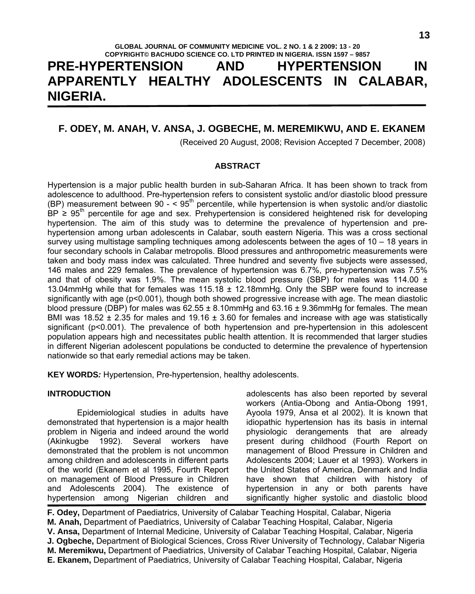# **GLOBAL JOURNAL OF COMMUNITY MEDICINE VOL. 2 NO. 1 & 2 2009: 13 - 20 COPYRIGHT© BACHUDO SCIENCE CO. LTD PRINTED IN NIGERIA. ISSN 1597 – 9857 PRE-HYPERTENSION AND HYPERTENSION IN APPARENTLY HEALTHY ADOLESCENTS IN CALABAR, NIGERIA.**

# **F. ODEY, M. ANAH, V. ANSA, J. OGBECHE, M. MEREMIKWU, AND E. EKANEM**

(Received 20 August, 2008; Revision Accepted 7 December, 2008)

#### **ABSTRACT**

Hypertension is a major public health burden in sub-Saharan Africa. It has been shown to track from adolescence to adulthood. Pre-hypertension refers to consistent systolic and/or diastolic blood pressure (BP) measurement between 90  $-$  < 95<sup>th</sup> percentile, while hypertension is when systolic and/or diastolic BP  $\geq 95^{\text{th}}$  percentile for age and sex. Prehypertension is considered heightened risk for developing hypertension. The aim of this study was to determine the prevalence of hypertension and prehypertension among urban adolescents in Calabar, south eastern Nigeria. This was a cross sectional survey using multistage sampling techniques among adolescents between the ages of 10 – 18 years in four secondary schools in Calabar metropolis. Blood pressures and anthropometric measurements were taken and body mass index was calculated. Three hundred and seventy five subjects were assessed, 146 males and 229 females. The prevalence of hypertension was 6.7%, pre-hypertension was 7.5% and that of obesity was 1.9%. The mean systolic blood pressure (SBP) for males was 114.00  $\pm$ 13.04mmHg while that for females was 115.18 ± 12.18mmHg. Only the SBP were found to increase significantly with age (p<0.001), though both showed progressive increase with age. The mean diastolic blood pressure (DBP) for males was  $62.55 \pm 8.10$ mmHg and  $63.16 \pm 9.36$ mmHg for females. The mean BMI was 18.52  $\pm$  2.35 for males and 19.16  $\pm$  3.60 for females and increase with age was statistically significant (p<0.001). The prevalence of both hypertension and pre-hypertension in this adolescent population appears high and necessitates public health attention. It is recommended that larger studies in different Nigerian adolescent populations be conducted to determine the prevalence of hypertension nationwide so that early remedial actions may be taken.

**KEY WORDS***:* Hypertension, Pre-hypertension, healthy adolescents.

#### **INTRODUCTION**

 Epidemiological studies in adults have demonstrated that hypertension is a major health problem in Nigeria and indeed around the world (Akinkugbe 1992). Several workers have demonstrated that the problem is not uncommon among children and adolescents in different parts of the world (Ekanem et al 1995, Fourth Report on management of Blood Pressure in Children and Adolescents 2004). The existence of hypertension among Nigerian children and

adolescents has also been reported by several workers (Antia-Obong and Antia-Obong 1991, Ayoola 1979, Ansa et al 2002). It is known that idiopathic hypertension has its basis in internal physiologic derangements that are already present during childhood (Fourth Report on management of Blood Pressure in Children and Adolescents 2004; Lauer et al 1993). Workers in the United States of America, Denmark and India have shown that children with history of hypertension in any or both parents have significantly higher systolic and diastolic blood

**F. Odey,** Department of Paediatrics, University of Calabar Teaching Hospital, Calabar, Nigeria **M. Anah,** Department of Paediatrics, University of Calabar Teaching Hospital, Calabar, Nigeria **V. Ansa,** Department of Internal Medicine, University of Calabar Teaching Hospital, Calabar, Nigeria **J. Ogbeche,** Department of Biological Sciences, Cross River University of Technology, Calabar, Nigeria **M. Meremikwu,** Department of Paediatrics, University of Calabar Teaching Hospital, Calabar, Nigeria **E. Ekanem,** Department of Paediatrics, University of Calabar Teaching Hospital, Calabar, Nigeria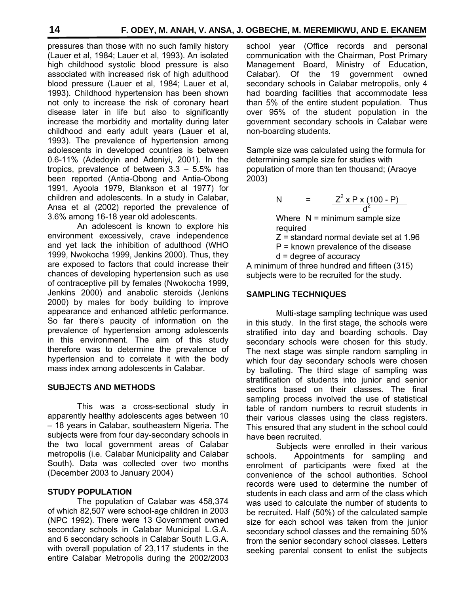pressures than those with no such family history (Lauer et al, 1984; Lauer et al, 1993). An isolated high childhood systolic blood pressure is also associated with increased risk of high adulthood blood pressure (Lauer et al, 1984; Lauer et al, 1993). Childhood hypertension has been shown not only to increase the risk of coronary heart disease later in life but also to significantly increase the morbidity and mortality during later childhood and early adult years (Lauer et al, 1993). The prevalence of hypertension among adolescents in developed countries is between 0.6-11% (Adedoyin and Adeniyi, 2001). In the tropics, prevalence of between 3.3 – 5.5% has been reported (Antia-Obong and Antia-Obong 1991, Ayoola 1979, Blankson et al 1977) for children and adolescents. In a study in Calabar, Ansa et al (2002) reported the prevalence of 3.6% among 16-18 year old adolescents.

 An adolescent is known to explore his environment excessively, crave independence and yet lack the inhibition of adulthood (WHO 1999, Nwokocha 1999, Jenkins 2000). Thus, they are exposed to factors that could increase their chances of developing hypertension such as use of contraceptive pill by females (Nwokocha 1999, Jenkins 2000) and anabolic steroids (Jenkins 2000) by males for body building to improve appearance and enhanced athletic performance. So far there's paucity of information on the prevalence of hypertension among adolescents in this environment. The aim of this study therefore was to determine the prevalence of hypertension and to correlate it with the body mass index among adolescents in Calabar.

# **SUBJECTS AND METHODS**

 This was a cross-sectional study in apparently healthy adolescents ages between 10 – 18 years in Calabar, southeastern Nigeria. The subjects were from four day-secondary schools in the two local government areas of Calabar metropolis (i.e. Calabar Municipality and Calabar South). Data was collected over two months (December 2003 to January 2004)

# **STUDY POPULATION**

 The population of Calabar was 458,374 of which 82,507 were school-age children in 2003 (NPC 1992). There were 13 Government owned secondary schools in Calabar Municipal L.G.A. and 6 secondary schools in Calabar South L.G.A. with overall population of 23,117 students in the entire Calabar Metropolis during the 2002/2003

school year (Office records and personal communication with the Chairman, Post Primary Management Board, Ministry of Education, Calabar). Of the 19 government owned secondary schools in Calabar metropolis, only 4 had boarding facilities that accommodate less than 5% of the entire student population. Thus over 95% of the student population in the government secondary schools in Calabar were non-boarding students.

Sample size was calculated using the formula for determining sample size for studies with population of more than ten thousand; (Araoye 2003)

N = 
$$
\frac{Z^2 \times P \times (100 - P)}{d^2}
$$

Where  $N =$  minimum sample size required

Z = standard normal deviate set at 1.96

P = known prevalence of the disease

d = degree of accuracy

A minimum of three hundred and fifteen (315) subjects were to be recruited for the study.

# **SAMPLING TECHNIQUES**

 Multi-stage sampling technique was used in this study. In the first stage, the schools were stratified into day and boarding schools. Day secondary schools were chosen for this study. The next stage was simple random sampling in which four day secondary schools were chosen by balloting. The third stage of sampling was stratification of students into junior and senior sections based on their classes. The final sampling process involved the use of statistical table of random numbers to recruit students in their various classes using the class registers. This ensured that any student in the school could have been recruited.

 Subjects were enrolled in their various schools. Appointments for sampling and enrolment of participants were fixed at the convenience of the school authorities. School records were used to determine the number of students in each class and arm of the class which was used to calculate the number of students to be recruited**.** Half (50%) of the calculated sample size for each school was taken from the junior secondary school classes and the remaining 50% from the senior secondary school classes. Letters seeking parental consent to enlist the subjects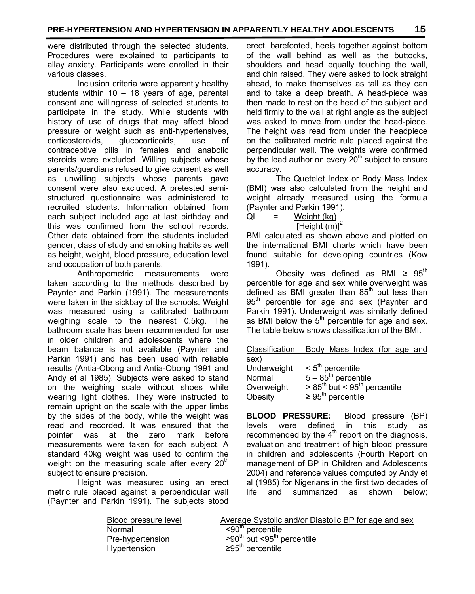were distributed through the selected students. Procedures were explained to participants to allay anxiety. Participants were enrolled in their various classes.

 Inclusion criteria were apparently healthy students within 10 – 18 years of age, parental consent and willingness of selected students to participate in the study. While students with history of use of drugs that may affect blood pressure or weight such as anti-hypertensives, corticosteroids, glucocorticoids, use of contraceptive pills in females and anabolic steroids were excluded. Willing subjects whose parents/guardians refused to give consent as well as unwilling subjects whose parents gave consent were also excluded. A pretested semistructured questionnaire was administered to recruited students. Information obtained from each subject included age at last birthday and this was confirmed from the school records. Other data obtained from the students included gender, class of study and smoking habits as well as height, weight, blood pressure, education level and occupation of both parents.

 Anthropometric measurements were taken according to the methods described by Paynter and Parkin (1991). The measurements were taken in the sickbay of the schools. Weight was measured using a calibrated bathroom weighing scale to the nearest 0.5kg. The bathroom scale has been recommended for use in older children and adolescents where the beam balance is not available (Paynter and Parkin 1991) and has been used with reliable results (Antia-Obong and Antia-Obong 1991 and Andy et al 1985). Subjects were asked to stand on the weighing scale without shoes while wearing light clothes. They were instructed to remain upright on the scale with the upper limbs by the sides of the body, while the weight was read and recorded. It was ensured that the pointer was at the zero mark before measurements were taken for each subject. A standard 40kg weight was used to confirm the weight on the measuring scale after every  $20<sup>m</sup>$ subject to ensure precision.

 Height was measured using an erect metric rule placed against a perpendicular wall (Paynter and Parkin 1991). The subjects stood

erect, barefooted, heels together against bottom of the wall behind as well as the buttocks, shoulders and head equally touching the wall, and chin raised. They were asked to look straight ahead, to make themselves as tall as they can and to take a deep breath. A head-piece was then made to rest on the head of the subject and held firmly to the wall at right angle as the subject was asked to move from under the head-piece. The height was read from under the headpiece on the calibrated metric rule placed against the perpendicular wall. The weights were confirmed by the lead author on every  $20<sup>th</sup>$  subject to ensure accuracy.

 The Quetelet Index or Body Mass Index (BMI) was also calculated from the height and weight already measured using the formula (Paynter and Parkin 1991).

QI = Weight (kg)  $[Height (m)]<sup>2</sup>$ 

BMI calculated as shown above and plotted on the international BMI charts which have been found suitable for developing countries (Kow 1991).

Obesity was defined as BMI  $\geq 95^{\text{th}}$ percentile for age and sex while overweight was defined as BMI greater than  $85<sup>th</sup>$  but less than  $95<sup>th</sup>$  percentile for age and sex (Paynter and Parkin 1991). Underweight was similarly defined as BMI below the  $5<sup>th</sup>$  percentile for age and sex. The table below shows classification of the BMI.

| Classification Body Mass Index (for age and |                                            |  |  |
|---------------------------------------------|--------------------------------------------|--|--|
| sex)                                        |                                            |  |  |
| Indomination                                | $\sim$ $\epsilon$ <sup>th</sup> noroontilo |  |  |

| Underweight | $< 5th$ percentile                         |
|-------------|--------------------------------------------|
| Normal      | $5 - 85^{\text{th}}$ percentile            |
| Overweight  | $> 85th$ but < 95 <sup>th</sup> percentile |
| Obesity     | $\geq 95^{\text{th}}$ percentile           |

**BLOOD PRESSURE:** Blood pressure (BP) levels were defined in this study as recommended by the  $4<sup>th</sup>$  report on the diagnosis, evaluation and treatment of high blood pressure in children and adolescents (Fourth Report on management of BP in Children and Adolescents 2004) and reference values computed by Andy et al (1985) for Nigerians in the first two decades of life and summarized as shown below;

| Blood pressure level | Average Systolic and/or Diastolic BP for age and sex |
|----------------------|------------------------------------------------------|
| Normal               | $< 90th$ percentile                                  |
| Pre-hypertension     | ≥90 <sup>th</sup> but <95 <sup>th</sup> percentile   |
| Hypertension         | $\geq 95^{\text{th}}$ percentile                     |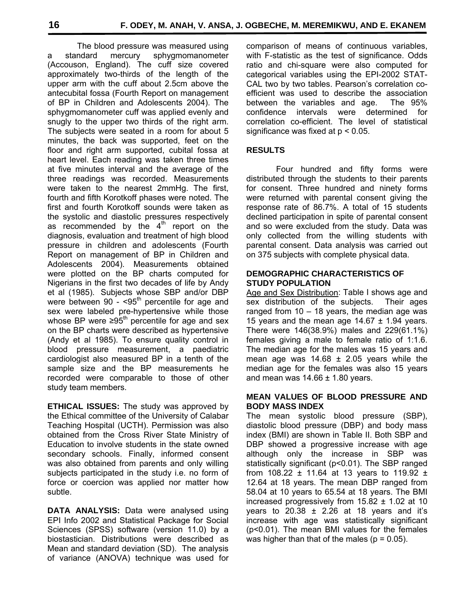The blood pressure was measured using a standard mercury sphygmomanometer (Accouson, England). The cuff size covered approximately two-thirds of the length of the upper arm with the cuff about 2.5cm above the antecubital fossa (Fourth Report on management of BP in Children and Adolescents 2004). The sphygmomanometer cuff was applied evenly and snugly to the upper two thirds of the right arm. The subjects were seated in a room for about 5 minutes, the back was supported, feet on the floor and right arm supported, cubital fossa at heart level. Each reading was taken three times at five minutes interval and the average of the three readings was recorded. Measurements were taken to the nearest 2mmHg. The first, fourth and fifth Korotkoff phases were noted. The first and fourth Korotkoff sounds were taken as the systolic and diastolic pressures respectively as recommended by the  $4<sup>th</sup>$  report on the diagnosis, evaluation and treatment of high blood pressure in children and adolescents (Fourth Report on management of BP in Children and Adolescents 2004). Measurements obtained were plotted on the BP charts computed for Nigerians in the first two decades of life by Andy et al (1985). Subjects whose SBP and/or DBP were between 90 -  $<$ 95<sup>th</sup> percentile for age and sex were labeled pre-hypertensive while those whose BP were  $\geq 95^{\text{th}}$  percentile for age and sex on the BP charts were described as hypertensive (Andy et al 1985). To ensure quality control in blood pressure measurement, a paediatric cardiologist also measured BP in a tenth of the sample size and the BP measurements he recorded were comparable to those of other study team members.

**ETHICAL ISSUES:** The study was approved by the Ethical committee of the University of Calabar Teaching Hospital (UCTH). Permission was also obtained from the Cross River State Ministry of Education to involve students in the state owned secondary schools. Finally, informed consent was also obtained from parents and only willing subjects participated in the study i.e. no form of force or coercion was applied nor matter how subtle.

**DATA ANALYSIS:** Data were analysed using EPI Info 2002 and Statistical Package for Social Sciences (SPSS) software (version 11.0) by a biostastician. Distributions were described as Mean and standard deviation (SD). The analysis of variance (ANOVA) technique was used for comparison of means of continuous variables, with F-statistic as the test of significance. Odds ratio and chi-square were also computed for categorical variables using the EPI-2002 STAT-CAL two by two tables. Pearson's correlation coefficient was used to describe the association between the variables and age. The 95% confidence intervals were determined for correlation co-efficient. The level of statistical significance was fixed at p < 0.05.

## **RESULTS**

 Four hundred and fifty forms were distributed through the students to their parents for consent. Three hundred and ninety forms were returned with parental consent giving the response rate of 86.7%. A total of 15 students declined participation in spite of parental consent and so were excluded from the study. Data was only collected from the willing students with parental consent. Data analysis was carried out on 375 subjects with complete physical data.

#### **DEMOGRAPHIC CHARACTERISTICS OF STUDY POPULATION**

Age and Sex Distribution: Table I shows age and sex distribution of the subjects. Their ages ranged from  $10 - 18$  years, the median age was 15 years and the mean age  $14.67 \pm 1.94$  years. There were 146(38.9%) males and 229(61.1%) females giving a male to female ratio of 1:1.6. The median age for the males was 15 years and mean age was  $14.68 \pm 2.05$  years while the median age for the females was also 15 years and mean was  $14.66 \pm 1.80$  years.

### **MEAN VALUES OF BLOOD PRESSURE AND BODY MASS INDEX**

The mean systolic blood pressure (SBP), diastolic blood pressure (DBP) and body mass index (BMI) are shown in Table II. Both SBP and DBP showed a progressive increase with age although only the increase in SBP was statistically significant (p<0.01). The SBP ranged from 108.22  $\pm$  11.64 at 13 years to 119.92  $\pm$ 12.64 at 18 years. The mean DBP ranged from 58.04 at 10 years to 65.54 at 18 years. The BMI increased progressively from 15.82 ± 1.02 at 10 years to 20.38  $\pm$  2.26 at 18 years and it's increase with age was statistically significant (p<0.01). The mean BMI values for the females was higher than that of the males ( $p = 0.05$ ).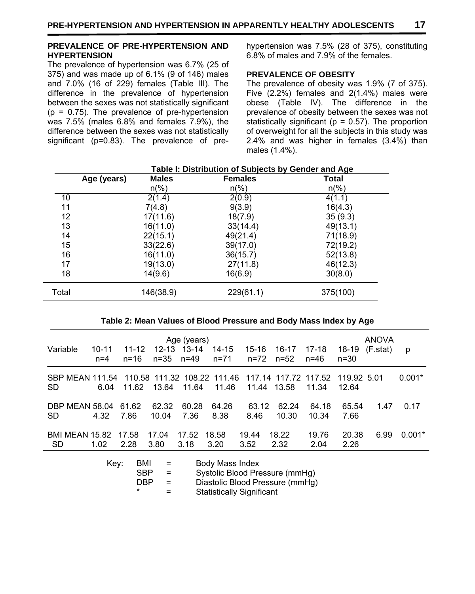#### **PREVALENCE OF PRE-HYPERTENSION AND HYPERTENSION**

The prevalence of hypertension was 6.7% (25 of 375) and was made up of 6.1% (9 of 146) males and 7.0% (16 of 229) females (Table III). The difference in the prevalence of hypertension between the sexes was not statistically significant  $(p = 0.75)$ . The prevalence of pre-hypertension was 7.5% (males 6.8% and females 7.9%), the difference between the sexes was not statistically significant (p=0.83). The prevalence of prehypertension was 7.5% (28 of 375), constituting 6.8% of males and 7.9% of the females.

# **PREVALENCE OF OBESITY**

The prevalence of obesity was 1.9% (7 of 375). Five (2.2%) females and 2(1.4%) males were obese (Table IV). The difference in the prevalence of obesity between the sexes was not statistically significant ( $p = 0.57$ ). The proportion of overweight for all the subjects in this study was 2.4% and was higher in females (3.4%) than males (1.4%).

|       | Age (years) | <b>Males</b>   | <b>Females</b> | Total          |
|-------|-------------|----------------|----------------|----------------|
|       |             | $n\frac{6}{6}$ | $n\frac{6}{6}$ | $n\frac{6}{6}$ |
| 10    |             | 2(1.4)         | 2(0.9)         | 4(1.1)         |
| 11    |             | 7(4.8)         | 9(3.9)         | 16(4.3)        |
| 12    |             | 17(11.6)       | 18(7.9)        | 35(9.3)        |
| 13    |             | 16(11.0)       | 33(14.4)       | 49(13.1)       |
| 14    |             | 22(15.1)       | 49(21.4)       | 71(18.9)       |
| 15    |             | 33(22.6)       | 39(17.0)       | 72(19.2)       |
| 16    |             | 16(11.0)       | 36(15.7)       | 52(13.8)       |
| 17    |             | 19(13.0)       | 27(11.8)       | 46(12.3)       |
| 18    |             | 14(9.6)        | 16(6.9)        | 30(8.0)        |
| Total |             | 146(38.9)      | 229(61.1)      | 375(100)       |

# **Table I: Distribution of Subjects by Gender and Age**

#### **Table 2: Mean Values of Blood Pressure and Body Mass Index by Age**

| Variable                           | 10-11<br>$n=4$ | $11 - 12$<br>$n = 16$ | 12-13<br>n=35  | Age (years)<br>$13 - 14$<br>n=49 | 14-15<br>$n = 71$ | 15-16<br>n=72 | 16-17<br>$n = 52$                                         | 17-18<br>n=46  | 18-19<br>$n = 30$    | <b>ANOVA</b><br>(F.stat) | p        |
|------------------------------------|----------------|-----------------------|----------------|----------------------------------|-------------------|---------------|-----------------------------------------------------------|----------------|----------------------|--------------------------|----------|
| SBP MEAN 111.54<br><b>SD</b>       | 6.04           | 11.62                 | 13.64          | 11.64                            | 11.46             | 11.44         | 110.58 111.32 108.22 111.46 117.14 117.72 117.52<br>13.58 | 11.34          | 119.92 5.01<br>12.64 |                          | $0.001*$ |
| DBP MEAN 58.04 61.62<br><b>SD</b>  | 4.32           | 7.86                  | 62.32<br>10.04 | 60.28<br>7.36                    | 64.26<br>8.38     | 63.12<br>8.46 | 62.24<br>10.30                                            | 64.18<br>10.34 | 65.54<br>7.66        | 1.47                     | 0.17     |
| <b>BMI MEAN 15.82</b><br><b>SD</b> | 1.02           | 17.58<br>2.28         | 17.04<br>3.80  | 17.52<br>3.18                    | 18.58<br>3.20     | 19.44<br>3.52 | 18.22<br>2.32                                             | 19.76<br>2.04  | 20.38<br>2.26        | 6.99                     | $0.001*$ |

| Kev: | BMI     | $=$ | Body Mass Index                  |
|------|---------|-----|----------------------------------|
|      | SRP     | $=$ | Systolic Blood Pressure (mmHg)   |
|      | DRP     | $=$ | Diastolic Blood Pressure (mmHg)  |
|      | $\star$ | $=$ | <b>Statistically Significant</b> |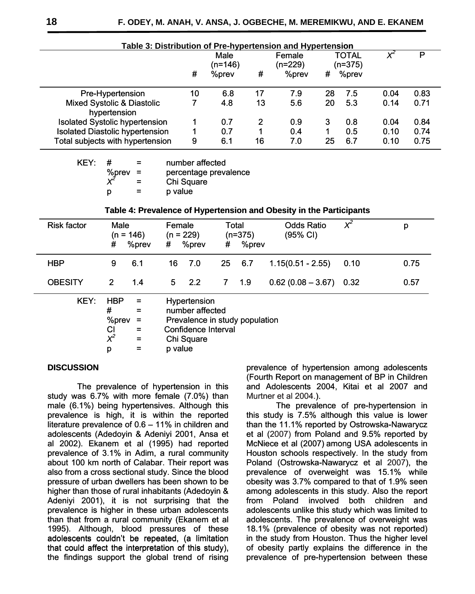| Table 3: Distribution of Pre-hypertension and Hypertension |    |                 |    |                   |    |                    |      |      |
|------------------------------------------------------------|----|-----------------|----|-------------------|----|--------------------|------|------|
|                                                            |    | Male<br>(n=146) |    | Female<br>(n=229) |    | TOTAL<br>$(n=375)$ | ХЧ   | P    |
|                                                            | #  | %prev           | #  | %prev             | #  | %prev              |      |      |
| Pre-Hypertension                                           | 10 | 6.8             | 17 | 7.9               | 28 | 7.5                | 0.04 | 0.83 |
| Mixed Systolic & Diastolic<br>hypertension                 |    | 4.8             | 13 | 5.6               | 20 | 5.3                | 0.14 | 0.71 |
| <b>Isolated Systolic hypertension</b>                      |    | 0.7             | 2  | 0.9               | 3  | 0.8                | 0.04 | 0.84 |
| Isolated Diastolic hypertension                            |    | 0.7             |    | 0.4               | 1  | 0.5                | 0.10 | 0.74 |
| Total subjects with hypertension                           | 9  | 6.1             | 16 | 7.0               | 25 | 6.7                | 0.10 | 0.75 |

#### **Table 3: Distribution of Pre-hypertension and Hypertension**

|   | $=$ | number affected       |
|---|-----|-----------------------|
|   |     | percentage prevalence |
|   |     | Chi Square            |
| р |     | p value               |
|   |     | %prev = $x^2 =$       |

#### **Table 4: Prevalence of Hypertension and Obesity in the Participants**

| <b>Risk factor</b> | Male<br>$(n = 146)$<br>%prev<br># | Female<br>$(n = 229)$<br># %prev | Total<br>$(n=375)$<br>%prev<br># | <b>Odds Ratio</b><br>(95% CI) | $\chi^2$ | p    |
|--------------------|-----------------------------------|----------------------------------|----------------------------------|-------------------------------|----------|------|
| <b>HBP</b>         | 6.1<br>9                          | 7.0<br>16.                       | 6.7<br>25                        | $1.15(0.51 - 2.55)$           | 0.10     | 0.75 |
| <b>OBESITY</b>     | 2<br>1.4                          | 2.2<br>5                         | 1.9<br>7 <sup>7</sup>            | $0.62(0.08 - 3.67)$ 0.32      |          | 0.57 |
| KEY:               | <b>HBP</b><br>$=$<br>#<br>$=$     | Hypertension<br>number affected  |                                  |                               |          |      |

| $%$ prev = | Prevalence in study population |
|------------|--------------------------------|
| СI         | Confidence Interval            |
| 2.         | $\sim$ $\sim$ $\sim$           |

*X2* = Chi Square

 $p = p$  value

#### **DISCUSSION**

 The prevalence of hypertension in this study was 6.7% with more female (7.0%) than male (6.1%) being hypertensives. Although this prevalence is high, it is within the reported literature prevalence of 0.6 – 11% in children and adolescents (Adedoyin & Adeniyi 2001, Ansa et al 2002). Ekanem et al (1995) had reported prevalence of 3.1% in Adim, a rural community about 100 km north of Calabar. Their report was also from a cross sectional study. Since the blood pressure of urban dwellers has been shown to be higher than those of rural inhabitants (Adedoyin & Adeniyi 2001), it is not surprising that the prevalence is higher in these urban adolescents than that from a rural community (Ekanem et al 1995). Although, blood pressures of these adolescents couldn't be repeated, (a limitation that could affect the interpretation of this study), the findings support the global trend of rising study was 6.7% with more female  $(7.0%)$  than male  $(6.1%)$  being hypertensives. Although this prevalence is high, it is within the reported literature prevalence of  $0.6 - 11%$  in children and adolescents (Adedoyin & Adeniy male (6.1%) being hypertensives. Although this true prevalence of pre-hypertension in prevalence of 0.6 – 11% in children and than the 11.1% reported by Ostrowska-Nawarycz indelecture prevalence of 0.6 – 11% in children an

prevalence of hypertension among adolescents (Fourth Report on management of BP in Children and Adolescents 2004, Kitai et al 2007 and Murtner et al 2004.).

this study is 7.5% although this value is lower this study is 7.5% although this value is lower than the 11.1% reported by Ostrowska-Nawarycz et al (2007) from Poland and 9.5% reported by McNiece et al (2007) among USA adolescents in Houston schools respectively. In the study from Poland (Ostrowska-Nawarycz et al 2007), the prevalence of overweight was 15.1% while obesity was 3.7% compared to that of 1.9% seen among adolescents in this study. Also the report from Poland involved both children and adolescents unlike this study which was limited to adolescents. The prevalence of overweight was 18.1% (prevalence of obesity was not reported) in the study from Houston. Thus the higher level of obesity partly explains the difference in the prevalence of pre-hypertension between these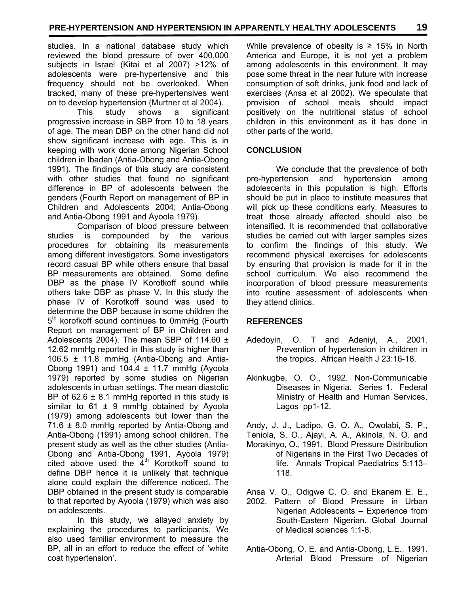studies. In a national database study which reviewed the blood pressure of over 400,000 subjects in Israel (Kitai et al 2007) >12% of adolescents were pre-hypertensive and this frequency should not be overlooked. When tracked, many of these pre-hypertensives went on to develop hypertension (Murtner et al 2004).

 This study shows a significant progressive increase in SBP from 10 to 18 years of age. The mean DBP on the other hand did not show significant increase with age. This is in keeping with work done among Nigerian School children in Ibadan (Antia-Obong and Antia-Obong 1991). The findings of this study are consistent with other studies that found no significant difference in BP of adolescents between the genders (Fourth Report on management of BP in Children and Adolescents 2004; Antia-Obong and Antia-Obong 1991 and Ayoola 1979).

 Comparison of blood pressure between studies is compounded by the various procedures for obtaining its measurements among different investigators. Some investigators record casual BP while others ensure that basal BP measurements are obtained. Some define DBP as the phase IV Korotkoff sound while others take DBP as phase V. In this study the phase IV of Korotkoff sound was used to determine the DBP because in some children the 5<sup>th</sup> korofkoff sound continues to 0mmHg (Fourth Report on management of BP in Children and Adolescents 2004). The mean SBP of 114.60  $\pm$ 12.62 mmHg reported in this study is higher than 106.5 ± 11.8 mmHg (Antia-Obong and Antia-Obong 1991) and 104.4  $\pm$  11.7 mmHg (Ayoola 1979) reported by some studies on Nigerian adolescents in urban settings. The mean diastolic BP of  $62.6 \pm 8.1$  mmHg reported in this study is similar to  $61 \pm 9$  mmHg obtained by Ayoola (1979) among adolescents but lower than the 71.6 ± 8.0 mmHg reported by Antia-Obong and Antia-Obong (1991) among school children. The present study as well as the other studies (Antia-Obong and Antia-Obong 1991, Ayoola 1979) cited above used the  $4<sup>th</sup>$  Korotkoff sound to define DBP hence it is unlikely that technique alone could explain the difference noticed. The DBP obtained in the present study is comparable to that reported by Ayoola (1979) which was also on adolescents.

 In this study, we allayed anxiety by explaining the procedures to participants. We also used familiar environment to measure the BP, all in an effort to reduce the effect of 'white coat hypertension'.

While prevalence of obesity is  $\geq 15\%$  in North America and Europe, it is not yet a problem among adolescents in this environment. It may pose some threat in the near future with increase consumption of soft drinks, junk food and lack of exercises (Ansa et al 2002). We speculate that provision of school meals should impact positively on the nutritional status of school children in this environment as it has done in other parts of the world.

## **CONCLUSION**

 We conclude that the prevalence of both pre-hypertension and hypertension among adolescents in this population is high. Efforts should be put in place to institute measures that will pick up these conditions early. Measures to treat those already affected should also be intensified. It is recommended that collaborative studies be carried out with larger samples sizes to confirm the findings of this study. We recommend physical exercises for adolescents by ensuring that provision is made for it in the school curriculum. We also recommend the incorporation of blood pressure measurements into routine assessment of adolescents when they attend clinics.

# **REFERENCES**

- Adedoyin, O. T and Adeniyi, A., 2001. Prevention of hypertension in children in the tropics. African Health J 23:16-18.
- Akinkugbe, O. O., 1992. Non-Communicable Diseases in Nigeria. Series 1. Federal Ministry of Health and Human Services, Lagos pp1-12.

Andy, J. J., Ladipo, G. O. A., Owolabi, S. P., Teniola, S. O., Ajayi, A. A., Akinola, N. O. and

- Morakinyo, O., 1991. Blood Pressure Distribution of Nigerians in the First Two Decades of life. Annals Tropical Paediatrics 5:113– 118.
- Ansa V. O., Odigwe C. O. and Ekanem E. E., 2002. Pattern of Blood Pressure in Urban Nigerian Adolescents – Experience from South-Eastern Nigerian. Global Journal of Medical sciences 1:1-8.
- Antia-Obong, O. E. and Antia-Obong, L.E., 1991. Arterial Blood Pressure of Nigerian